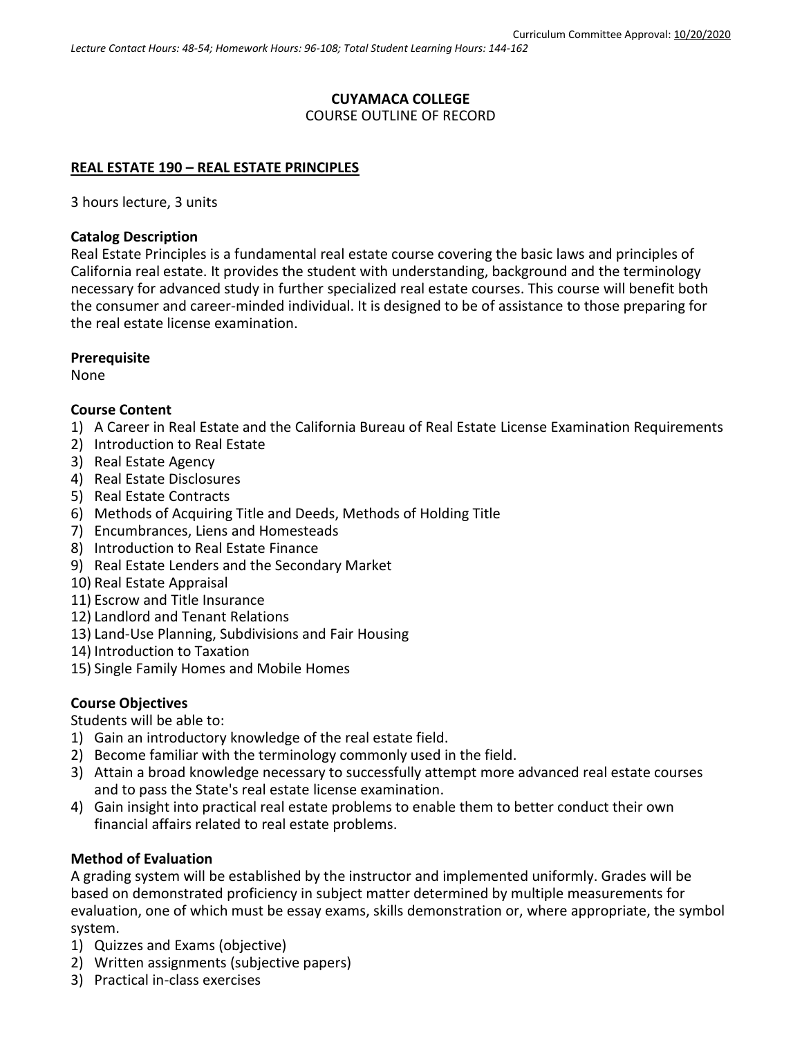# **CUYAMACA COLLEGE** COURSE OUTLINE OF RECORD

## **REAL ESTATE 190 – REAL ESTATE PRINCIPLES**

3 hours lecture, 3 units

#### **Catalog Description**

Real Estate Principles is a fundamental real estate course covering the basic laws and principles of California real estate. It provides the student with understanding, background and the terminology necessary for advanced study in further specialized real estate courses. This course will benefit both the consumer and career-minded individual. It is designed to be of assistance to those preparing for the real estate license examination.

### **Prerequisite**

None

## **Course Content**

- 1) A Career in Real Estate and the California Bureau of Real Estate License Examination Requirements
- 2) Introduction to Real Estate
- 3) Real Estate Agency
- 4) Real Estate Disclosures
- 5) Real Estate Contracts
- 6) Methods of Acquiring Title and Deeds, Methods of Holding Title
- 7) Encumbrances, Liens and Homesteads
- 8) Introduction to Real Estate Finance
- 9) Real Estate Lenders and the Secondary Market
- 10) Real Estate Appraisal
- 11) Escrow and Title Insurance
- 12) Landlord and Tenant Relations
- 13) Land-Use Planning, Subdivisions and Fair Housing
- 14) Introduction to Taxation
- 15) Single Family Homes and Mobile Homes

## **Course Objectives**

Students will be able to:

- 1) Gain an introductory knowledge of the real estate field.
- 2) Become familiar with the terminology commonly used in the field.
- 3) Attain a broad knowledge necessary to successfully attempt more advanced real estate courses and to pass the State's real estate license examination.
- 4) Gain insight into practical real estate problems to enable them to better conduct their own financial affairs related to real estate problems.

#### **Method of Evaluation**

A grading system will be established by the instructor and implemented uniformly. Grades will be based on demonstrated proficiency in subject matter determined by multiple measurements for evaluation, one of which must be essay exams, skills demonstration or, where appropriate, the symbol system.

- 1) Quizzes and Exams (objective)
- 2) Written assignments (subjective papers)
- 3) Practical in-class exercises